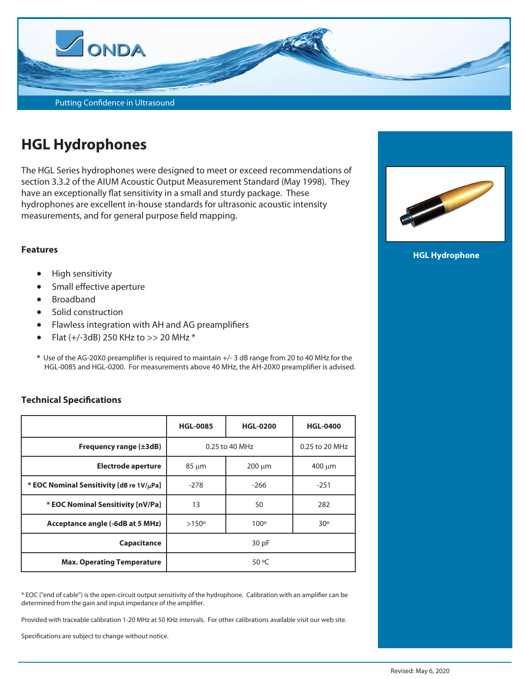

# **HGL Hydrophones**

The HGL Series hydrophones were designed to meet or exceed recommendations of section 3.3.2 of the AIUM Acoustic Output Measurement Standard (May 1998). They have an exceptionally flat sensitivity in a small and sturdy package. These hydrophones are excellent in-house standards for ultrasonic acoustic intensity measurements, and for general purpose field mapping.

#### **Features**

- High sensitivity
- **•** Small effective aperture
- Broadband
- Solid construction
- Flawless integration with AH and AG preamplifiers
- Flat  $(+/-3dB)$  250 KHz to >> 20 MHz  $*$
- **\*** Use of the AG-20X0 preamplifier is required to maintain +/- 3 dB range from 20 to 40 MHz for the HGL-0085 and HGL-0200. For measurements above 40 MHz, the AH-20X0 preamplifier is advised.

#### **Technical Specifications**

|                                          | <b>HGL-0085</b> | <b>HGL-0200</b> | <b>HGL-0400</b> |
|------------------------------------------|-----------------|-----------------|-----------------|
| Frequency range $(\pm 3dB)$              | 0.25 to 40 MHz  |                 | 0.25 to 20 MHz  |
| <b>Electrode aperture</b>                | $85 \mu m$      | $200 \mu m$     | $400 \mu m$     |
| * EOC Nominal Sensitivity [dB re 1V/µPa] | $-278$          | $-266$          | $-251$          |
| * EOC Nominal Sensitivity [nV/Pa]        | 13              | 50              | 282             |
| Acceptance angle (-6dB at 5 MHz)         | $>150^{\circ}$  | $100^\circ$     | 30°             |
| Capacitance                              | 30 pF           |                 |                 |
| <b>Max. Operating Temperature</b>        | 50 °C           |                 |                 |

\* EOC ("end of cable") is the open-circuit output sensitivity of the hydrophone. Calibration with an amplifier can be determined from the gain and input impedance of the amplifier.

Provided with traceable calibration 1-20 MHz at 50 KHz intervals. For other calibrations available visit our web site.

Specifications are subject to change without notice.



**HGL Hydrophone**